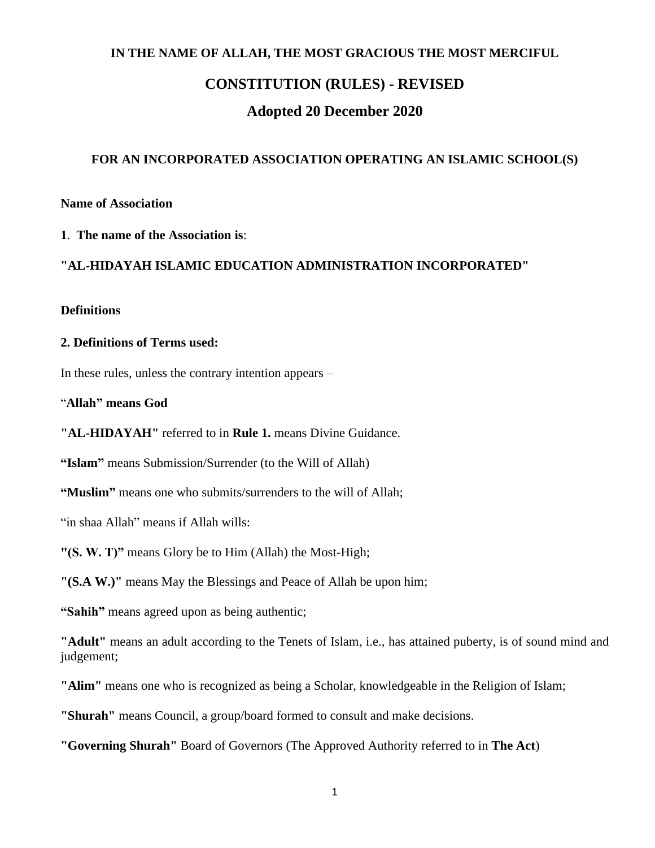## **IN THE NAME OF ALLAH, THE MOST GRACIOUS THE MOST MERCIFUL**

# **CONSTITUTION (RULES) - REVISED**

# **Adopted 20 December 2020**

#### **FOR AN INCORPORATED ASSOCIATION OPERATING AN ISLAMIC SCHOOL(S)**

**Name of Association** 

## **1**. **The name of the Association is**:

#### **"AL-HIDAYAH ISLAMIC EDUCATION ADMINISTRATION INCORPORATED"**

#### **Definitions**

#### **2. Definitions of Terms used:**

In these rules, unless the contrary intention appears –

"**Allah" means God**

**"AL-HIDAYAH"** referred to in **Rule 1.** means Divine Guidance.

**"Islam"** means Submission/Surrender (to the Will of Allah)

**"Muslim"** means one who submits/surrenders to the will of Allah;

"in shaa Allah" means if Allah wills:

**"(S. W. T)"** means Glory be to Him (Allah) the Most-High;

**"(S.A W.)"** means May the Blessings and Peace of Allah be upon him;

**"Sahih"** means agreed upon as being authentic;

**"Adult"** means an adult according to the Tenets of Islam, i.e., has attained puberty, is of sound mind and judgement;

**"Alim"** means one who is recognized as being a Scholar, knowledgeable in the Religion of Islam;

**"Shurah"** means Council, a group/board formed to consult and make decisions.

**"Governing Shurah"** Board of Governors (The Approved Authority referred to in **The Act**)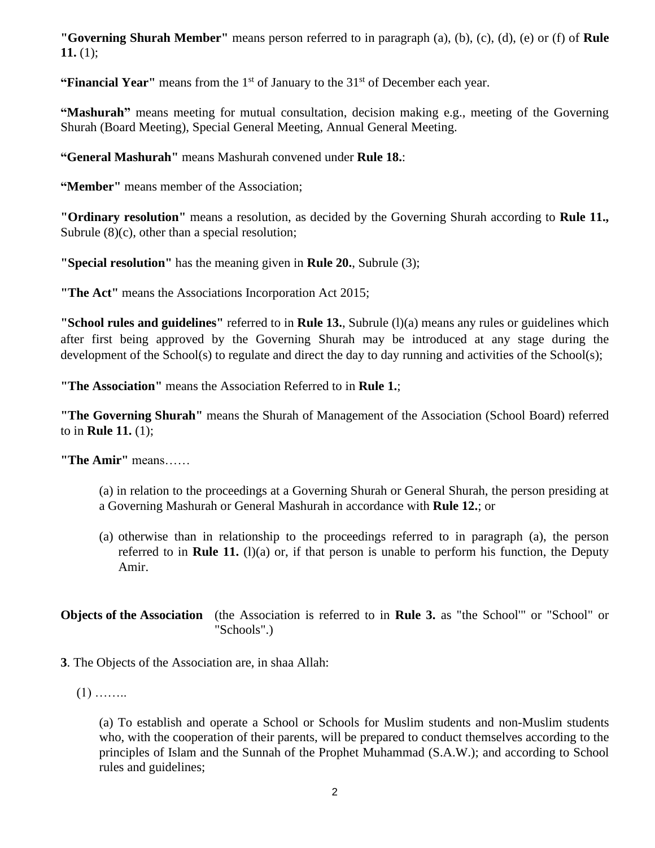**"Governing Shurah Member"** means person referred to in paragraph (a), (b), (c), (d), (e) or (f) of **Rule** 11.  $(1);$ 

**"Financial Year"** means from the 1<sup>st</sup> of January to the 31<sup>st</sup> of December each year.

**"Mashurah"** means meeting for mutual consultation, decision making e.g., meeting of the Governing Shurah (Board Meeting), Special General Meeting, Annual General Meeting.

**"General Mashurah"** means Mashurah convened under **Rule 18.**:

**"Member"** means member of the Association;

**"Ordinary resolution"** means a resolution, as decided by the Governing Shurah according to **Rule 11.,**  Subrule  $(8)(c)$ , other than a special resolution;

**"Special resolution"** has the meaning given in **Rule 20.**, Subrule (3);

**"The Act"** means the Associations Incorporation Act 2015;

**"School rules and guidelines"** referred to in **Rule 13.**, Subrule (l)(a) means any rules or guidelines which after first being approved by the Governing Shurah may be introduced at any stage during the development of the School(s) to regulate and direct the day to day running and activities of the School(s);

**"The Association"** means the Association Referred to in **Rule 1.**;

**"The Governing Shurah"** means the Shurah of Management of the Association (School Board) referred to in **Rule 11.** (1);

**"The Amir"** means……

- (a) in relation to the proceedings at a Governing Shurah or General Shurah, the person presiding at a Governing Mashurah or General Mashurah in accordance with **Rule 12.**; or
- (a) otherwise than in relationship to the proceedings referred to in paragraph (a), the person referred to in **Rule 11.** (1)(a) or, if that person is unable to perform his function, the Deputy Amir.

**Objects of the Association** (the Association is referred to in **Rule 3.** as "the School'" or "School" or "Schools".)

- **3**. The Objects of the Association are, in shaa Allah:
	- $(1)$  ……..

(a) To establish and operate a School or Schools for Muslim students and non-Muslim students who, with the cooperation of their parents, will be prepared to conduct themselves according to the principles of Islam and the Sunnah of the Prophet Muhammad (S.A.W.); and according to School rules and guidelines;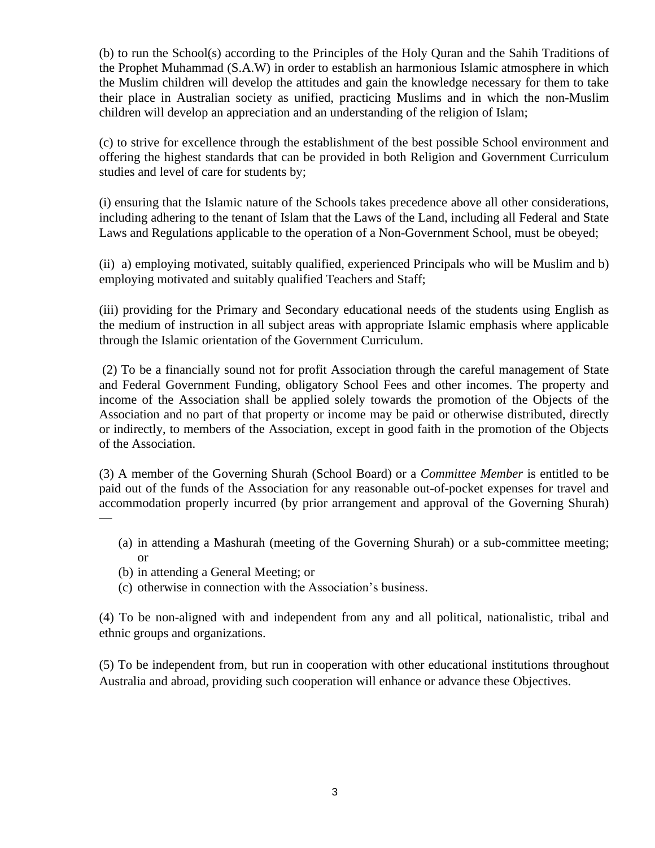(b) to run the School(s) according to the Principles of the Holy Quran and the Sahih Traditions of the Prophet Muhammad (S.A.W) in order to establish an harmonious Islamic atmosphere in which the Muslim children will develop the attitudes and gain the knowledge necessary for them to take their place in Australian society as unified, practicing Muslims and in which the non-Muslim children will develop an appreciation and an understanding of the religion of Islam;

(c) to strive for excellence through the establishment of the best possible School environment and offering the highest standards that can be provided in both Religion and Government Curriculum studies and level of care for students by;

(i) ensuring that the Islamic nature of the Schools takes precedence above all other considerations, including adhering to the tenant of Islam that the Laws of the Land, including all Federal and State Laws and Regulations applicable to the operation of a Non-Government School, must be obeyed;

(ii) a) employing motivated, suitably qualified, experienced Principals who will be Muslim and b) employing motivated and suitably qualified Teachers and Staff;

(iii) providing for the Primary and Secondary educational needs of the students using English as the medium of instruction in all subject areas with appropriate Islamic emphasis where applicable through the Islamic orientation of the Government Curriculum.

(2) To be a financially sound not for profit Association through the careful management of State and Federal Government Funding, obligatory School Fees and other incomes. The property and income of the Association shall be applied solely towards the promotion of the Objects of the Association and no part of that property or income may be paid or otherwise distributed, directly or indirectly, to members of the Association, except in good faith in the promotion of the Objects of the Association.

(3) A member of the Governing Shurah (School Board) or a *Committee Member* is entitled to be paid out of the funds of the Association for any reasonable out-of-pocket expenses for travel and accommodation properly incurred (by prior arrangement and approval of the Governing Shurah)  $\overline{\phantom{a}}$ 

- (a) in attending a Mashurah (meeting of the Governing Shurah) or a sub-committee meeting; or
- (b) in attending a General Meeting; or
- (c) otherwise in connection with the Association's business.

(4) To be non-aligned with and independent from any and all political, nationalistic, tribal and ethnic groups and organizations.

(5) To be independent from, but run in cooperation with other educational institutions throughout Australia and abroad, providing such cooperation will enhance or advance these Objectives.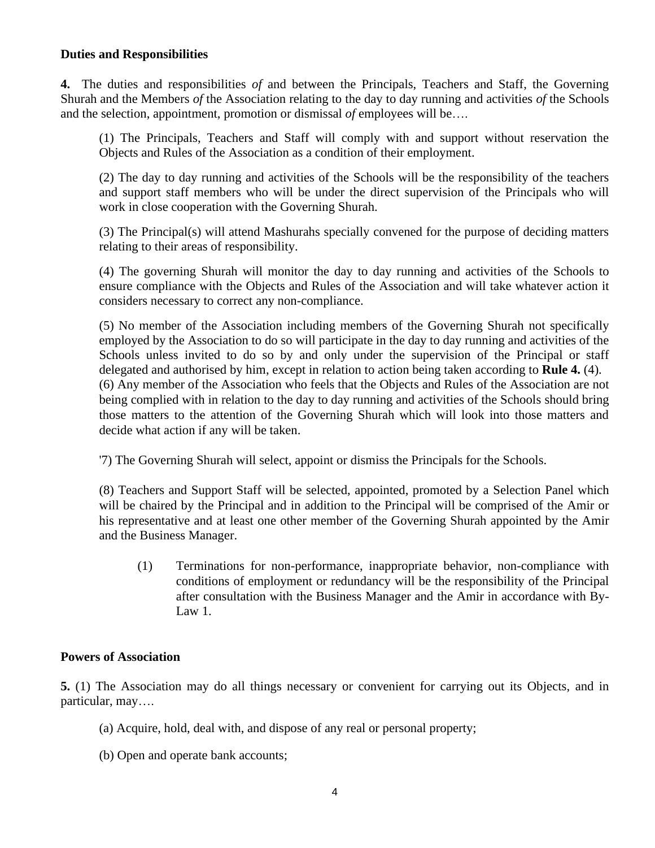## **Duties and Responsibilities**

**4.** The duties and responsibilities *of* and between the Principals, Teachers and Staff, the Governing Shurah and the Members *of* the Association relating to the day to day running and activities *of* the Schools and the selection, appointment, promotion or dismissal *of* employees will be….

(1) The Principals, Teachers and Staff will comply with and support without reservation the Objects and Rules of the Association as a condition of their employment.

(2) The day to day running and activities of the Schools will be the responsibility of the teachers and support staff members who will be under the direct supervision of the Principals who will work in close cooperation with the Governing Shurah.

(3) The Principal(s) will attend Mashurahs specially convened for the purpose of deciding matters relating to their areas of responsibility.

(4) The governing Shurah will monitor the day to day running and activities of the Schools to ensure compliance with the Objects and Rules of the Association and will take whatever action it considers necessary to correct any non-compliance.

(5) No member of the Association including members of the Governing Shurah not specifically employed by the Association to do so will participate in the day to day running and activities of the Schools unless invited to do so by and only under the supervision of the Principal or staff delegated and authorised by him, except in relation to action being taken according to **Rule 4.** (4). (6) Any member of the Association who feels that the Objects and Rules of the Association are not being complied with in relation to the day to day running and activities of the Schools should bring those matters to the attention of the Governing Shurah which will look into those matters and decide what action if any will be taken.

'7) The Governing Shurah will select, appoint or dismiss the Principals for the Schools.

(8) Teachers and Support Staff will be selected, appointed, promoted by a Selection Panel which will be chaired by the Principal and in addition to the Principal will be comprised of the Amir or his representative and at least one other member of the Governing Shurah appointed by the Amir and the Business Manager.

(1) Terminations for non-performance, inappropriate behavior, non-compliance with conditions of employment or redundancy will be the responsibility of the Principal after consultation with the Business Manager and the Amir in accordance with By-Law 1.

## **Powers of Association**

**5.** (1) The Association may do all things necessary or convenient for carrying out its Objects, and in particular, may….

- (a) Acquire, hold, deal with, and dispose of any real or personal property;
- (b) Open and operate bank accounts;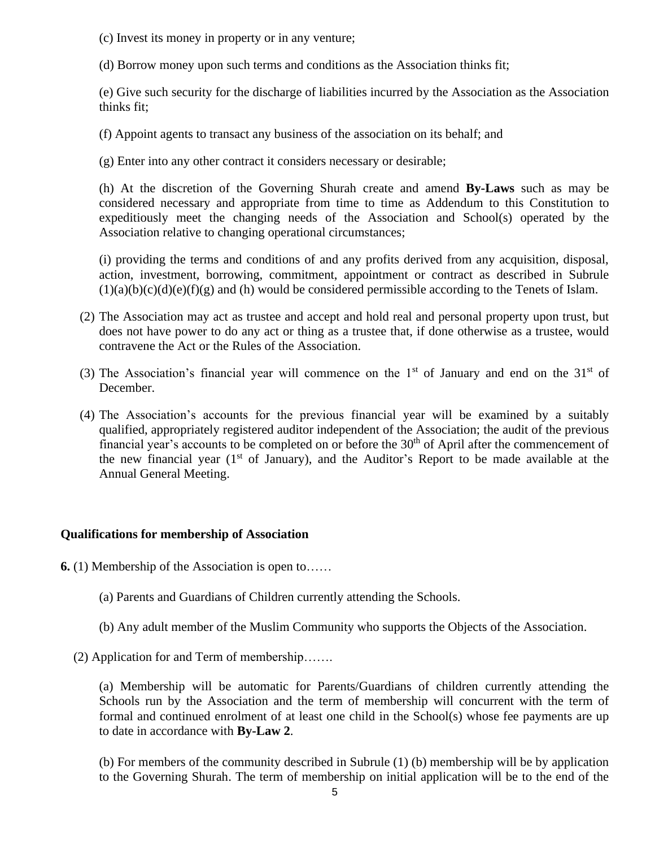(c) Invest its money in property or in any venture;

(d) Borrow money upon such terms and conditions as the Association thinks fit;

(e) Give such security for the discharge of liabilities incurred by the Association as the Association thinks fit;

(f) Appoint agents to transact any business of the association on its behalf; and

(g) Enter into any other contract it considers necessary or desirable;

(h) At the discretion of the Governing Shurah create and amend **By-Laws** such as may be considered necessary and appropriate from time to time as Addendum to this Constitution to expeditiously meet the changing needs of the Association and School(s) operated by the Association relative to changing operational circumstances;

(i) providing the terms and conditions of and any profits derived from any acquisition, disposal, action, investment, borrowing, commitment, appointment or contract as described in Subrule  $(1)(a)(b)(c)(d)(e)(f)(g)$  and (h) would be considered permissible according to the Tenets of Islam.

- (2) The Association may act as trustee and accept and hold real and personal property upon trust, but does not have power to do any act or thing as a trustee that, if done otherwise as a trustee, would contravene the Act or the Rules of the Association.
- (3) The Association's financial year will commence on the  $1<sup>st</sup>$  of January and end on the  $31<sup>st</sup>$  of December.
- (4) The Association's accounts for the previous financial year will be examined by a suitably qualified, appropriately registered auditor independent of the Association; the audit of the previous financial year's accounts to be completed on or before the  $30<sup>th</sup>$  of April after the commencement of the new financial year  $(1<sup>st</sup>$  of January), and the Auditor's Report to be made available at the Annual General Meeting.

# **Qualifications for membership of Association**

**6.** (1) Membership of the Association is open to……

(a) Parents and Guardians of Children currently attending the Schools.

(b) Any adult member of the Muslim Community who supports the Objects of the Association.

(2) Application for and Term of membership…….

(a) Membership will be automatic for Parents/Guardians of children currently attending the Schools run by the Association and the term of membership will concurrent with the term of formal and continued enrolment of at least one child in the School(s) whose fee payments are up to date in accordance with **By-Law 2**.

(b) For members of the community described in Subrule (1) (b) membership will be by application to the Governing Shurah. The term of membership on initial application will be to the end of the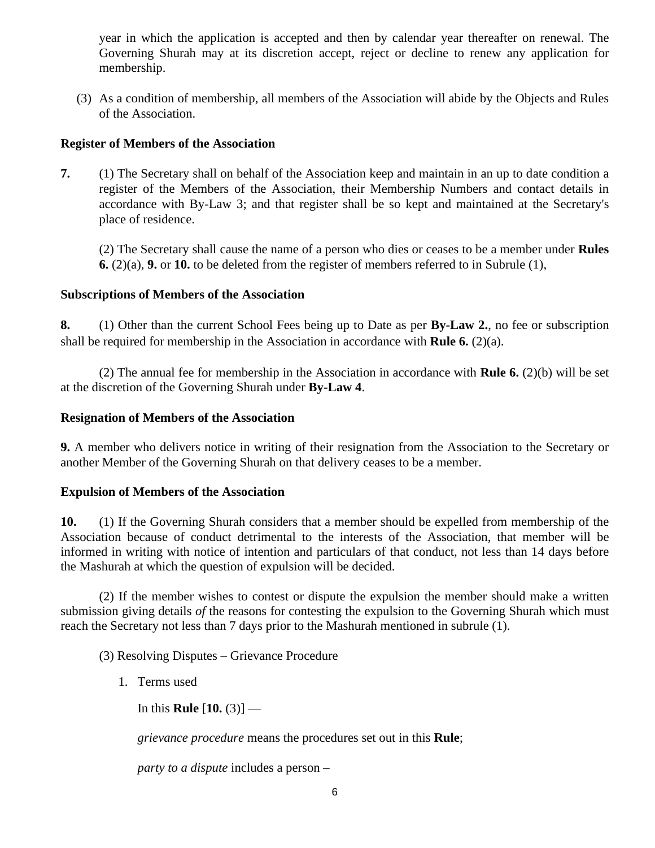year in which the application is accepted and then by calendar year thereafter on renewal. The Governing Shurah may at its discretion accept, reject or decline to renew any application for membership.

(3) As a condition of membership, all members of the Association will abide by the Objects and Rules of the Association.

# **Register of Members of the Association**

**7.** (1) The Secretary shall on behalf of the Association keep and maintain in an up to date condition a register of the Members of the Association, their Membership Numbers and contact details in accordance with By-Law 3; and that register shall be so kept and maintained at the Secretary's place of residence.

(2) The Secretary shall cause the name of a person who dies or ceases to be a member under **Rules 6.** (2)(a), **9.** or **10.** to be deleted from the register of members referred to in Subrule (1),

# **Subscriptions of Members of the Association**

**8.** (1) Other than the current School Fees being up to Date as per **By-Law 2.**, no fee or subscription shall be required for membership in the Association in accordance with **Rule 6.** (2)(a).

(2) The annual fee for membership in the Association in accordance with **Rule 6.** (2)(b) will be set at the discretion of the Governing Shurah under **By-Law 4**.

## **Resignation of Members of the Association**

**9.** A member who delivers notice in writing of their resignation from the Association to the Secretary or another Member of the Governing Shurah on that delivery ceases to be a member.

# **Expulsion of Members of the Association**

**10.** (1) If the Governing Shurah considers that a member should be expelled from membership of the Association because of conduct detrimental to the interests of the Association, that member will be informed in writing with notice of intention and particulars of that conduct, not less than 14 days before the Mashurah at which the question of expulsion will be decided.

(2) If the member wishes to contest or dispute the expulsion the member should make a written submission giving details *of* the reasons for contesting the expulsion to the Governing Shurah which must reach the Secretary not less than 7 days prior to the Mashurah mentioned in subrule (1).

(3) Resolving Disputes – Grievance Procedure

1. Terms used

In this **Rule** [**10.** (3)] —

*grievance procedure* means the procedures set out in this **Rule**;

*party to a dispute* includes a person –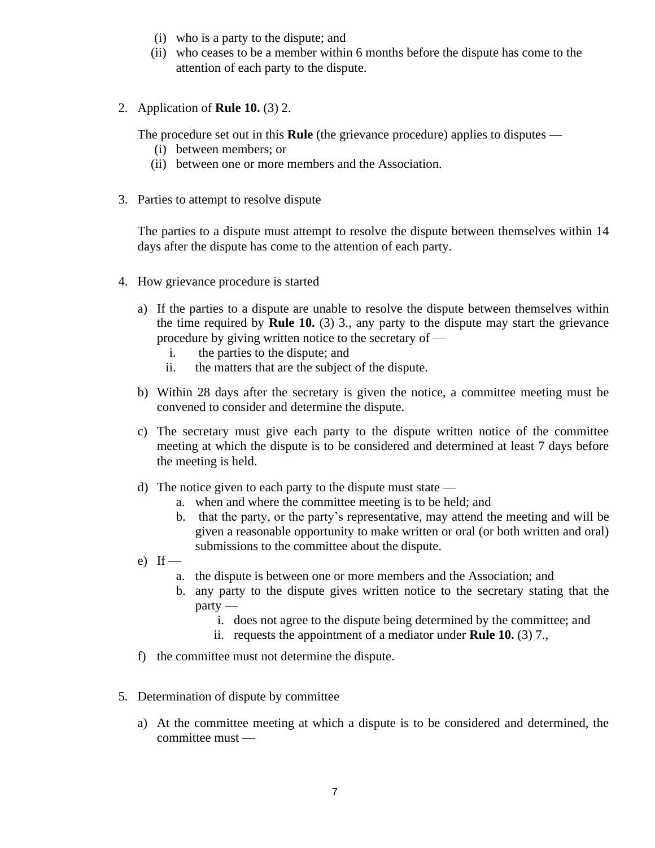- (i) who is a party to the dispute; and
- (ii) who ceases to be a member within 6 months before the dispute has come to the attention of each party to the dispute.
- 2. Application of **Rule 10.** (3) 2.

The procedure set out in this **Rule** (the grievance procedure) applies to disputes —

- (i) between members; or
- (ii) between one or more members and the Association.
- 3. Parties to attempt to resolve dispute

The parties to a dispute must attempt to resolve the dispute between themselves within 14 days after the dispute has come to the attention of each party.

- 4. How grievance procedure is started
	- a) If the parties to a dispute are unable to resolve the dispute between themselves within the time required by **Rule 10.** (3) 3., any party to the dispute may start the grievance procedure by giving written notice to the secretary of
		- i. the parties to the dispute; and
		- ii. the matters that are the subject of the dispute.
	- b) Within 28 days after the secretary is given the notice, a committee meeting must be convened to consider and determine the dispute.
	- c) The secretary must give each party to the dispute written notice of the committee meeting at which the dispute is to be considered and determined at least 7 days before the meeting is held.
	- d) The notice given to each party to the dispute must state
		- a. when and where the committee meeting is to be held; and
		- b. that the party, or the party's representative, may attend the meeting and will be given a reasonable opportunity to make written or oral (or both written and oral) submissions to the committee about the dispute.
	- e) If  $$ 
		- a. the dispute is between one or more members and the Association; and
		- b. any party to the dispute gives written notice to the secretary stating that the party
			- i. does not agree to the dispute being determined by the committee; and
			- ii. requests the appointment of a mediator under **Rule 10.** (3) 7.,
	- f) the committee must not determine the dispute.
- 5. Determination of dispute by committee
	- a) At the committee meeting at which a dispute is to be considered and determined, the committee must —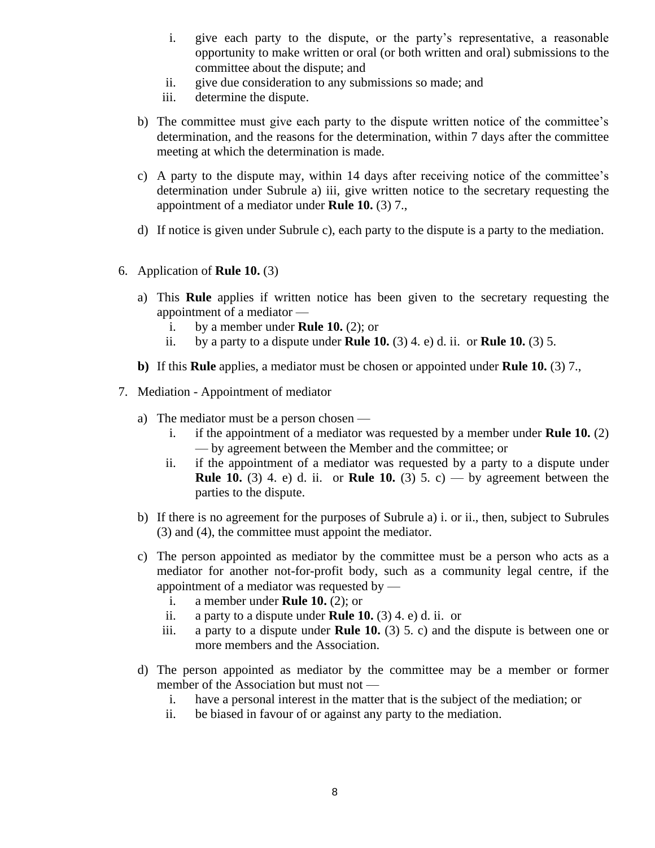- i. give each party to the dispute, or the party's representative, a reasonable opportunity to make written or oral (or both written and oral) submissions to the committee about the dispute; and
- ii. give due consideration to any submissions so made; and
- iii. determine the dispute.
- b) The committee must give each party to the dispute written notice of the committee's determination, and the reasons for the determination, within 7 days after the committee meeting at which the determination is made.
- c) A party to the dispute may, within 14 days after receiving notice of the committee's determination under Subrule a) iii, give written notice to the secretary requesting the appointment of a mediator under **Rule 10.** (3) 7.,
- d) If notice is given under Subrule c), each party to the dispute is a party to the mediation.
- 6. Application of **Rule 10.** (3)
	- a) This **Rule** applies if written notice has been given to the secretary requesting the appointment of a mediator
		- i. by a member under **Rule 10.** (2); or
		- ii. by a party to a dispute under **Rule 10.** (3) 4. e) d. ii. or **Rule 10.** (3) 5.
	- **b)** If this **Rule** applies, a mediator must be chosen or appointed under **Rule 10.** (3) 7.,
- 7. Mediation Appointment of mediator
	- a) The mediator must be a person chosen
		- i. if the appointment of a mediator was requested by a member under **Rule 10.** (2) — by agreement between the Member and the committee; or
		- ii. if the appointment of a mediator was requested by a party to a dispute under **Rule 10.** (3) 4. e) d. ii. or **Rule 10.** (3) 5. c) — by agreement between the parties to the dispute.
	- b) If there is no agreement for the purposes of Subrule a) i. or ii., then, subject to Subrules (3) and (4), the committee must appoint the mediator.
	- c) The person appointed as mediator by the committee must be a person who acts as a mediator for another not-for-profit body, such as a community legal centre, if the appointment of a mediator was requested by  $$ 
		- i. a member under **Rule 10.** (2); or
		- ii. a party to a dispute under **Rule 10.** (3) 4. e) d. ii. or
		- iii. a party to a dispute under **Rule 10.** (3) 5. c) and the dispute is between one or more members and the Association.
	- d) The person appointed as mediator by the committee may be a member or former member of the Association but must not
		- i. have a personal interest in the matter that is the subject of the mediation; or
		- ii. be biased in favour of or against any party to the mediation.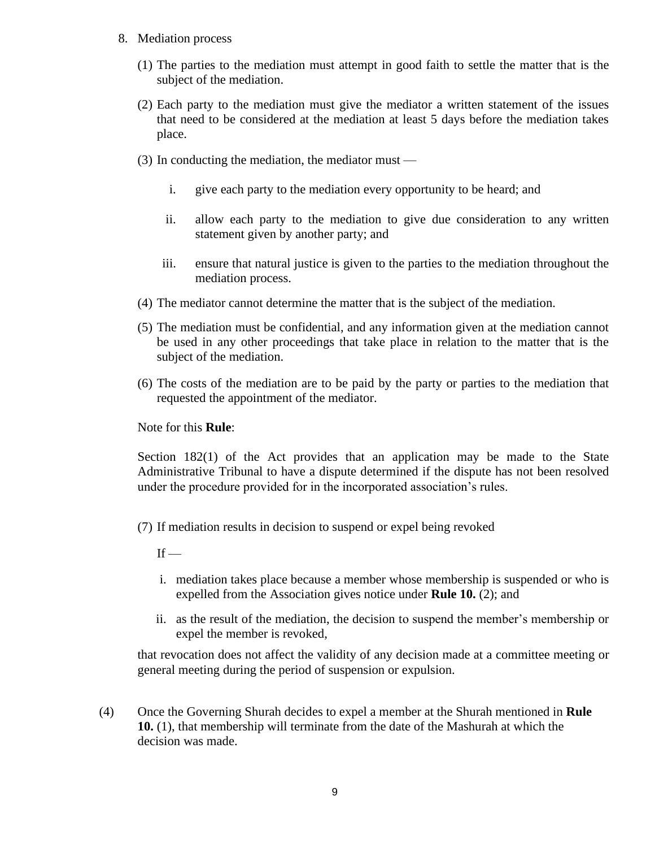- 8. Mediation process
	- (1) The parties to the mediation must attempt in good faith to settle the matter that is the subject of the mediation.
	- (2) Each party to the mediation must give the mediator a written statement of the issues that need to be considered at the mediation at least 5 days before the mediation takes place.
	- (3) In conducting the mediation, the mediator must
		- i. give each party to the mediation every opportunity to be heard; and
		- ii. allow each party to the mediation to give due consideration to any written statement given by another party; and
		- iii. ensure that natural justice is given to the parties to the mediation throughout the mediation process.
	- (4) The mediator cannot determine the matter that is the subject of the mediation.
	- (5) The mediation must be confidential, and any information given at the mediation cannot be used in any other proceedings that take place in relation to the matter that is the subject of the mediation.
	- (6) The costs of the mediation are to be paid by the party or parties to the mediation that requested the appointment of the mediator.

Note for this **Rule**:

Section 182(1) of the Act provides that an application may be made to the State Administrative Tribunal to have a dispute determined if the dispute has not been resolved under the procedure provided for in the incorporated association's rules.

(7) If mediation results in decision to suspend or expel being revoked

 $If -$ 

- i. mediation takes place because a member whose membership is suspended or who is expelled from the Association gives notice under **Rule 10.** (2); and
- ii. as the result of the mediation, the decision to suspend the member's membership or expel the member is revoked,

that revocation does not affect the validity of any decision made at a committee meeting or general meeting during the period of suspension or expulsion.

(4) Once the Governing Shurah decides to expel a member at the Shurah mentioned in **Rule 10.** (1), that membership will terminate from the date of the Mashurah at which the decision was made.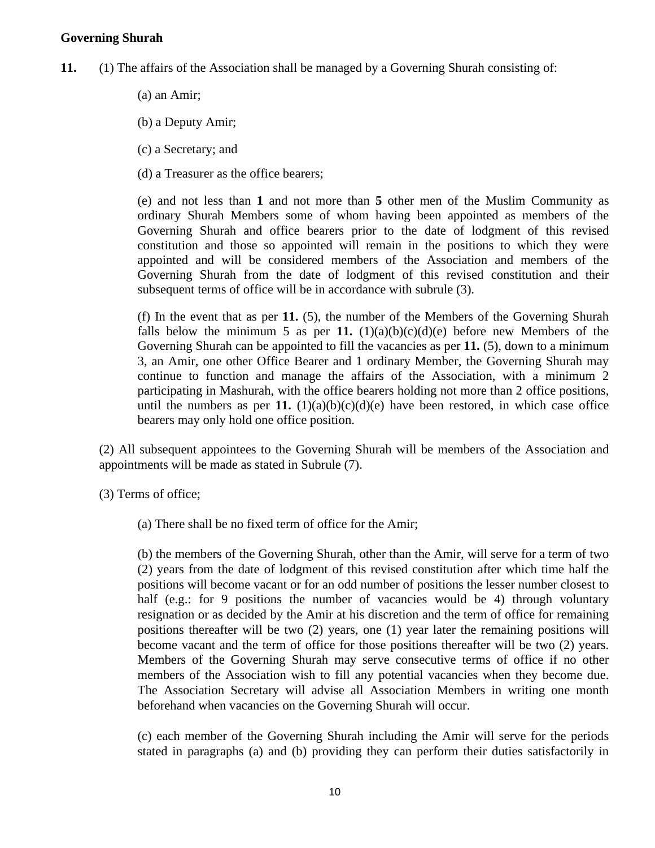## **Governing Shurah**

- **11.** (1) The affairs of the Association shall be managed by a Governing Shurah consisting of:
	- (a) an Amir;

(b) a Deputy Amir;

(c) a Secretary; and

(d) a Treasurer as the office bearers;

(e) and not less than **1** and not more than **5** other men of the Muslim Community as ordinary Shurah Members some of whom having been appointed as members of the Governing Shurah and office bearers prior to the date of lodgment of this revised constitution and those so appointed will remain in the positions to which they were appointed and will be considered members of the Association and members of the Governing Shurah from the date of lodgment of this revised constitution and their subsequent terms of office will be in accordance with subrule (3).

(f) In the event that as per **11.** (5), the number of the Members of the Governing Shurah falls below the minimum 5 as per 11.  $(1)(a)(b)(c)(d)(e)$  before new Members of the Governing Shurah can be appointed to fill the vacancies as per **11.** (5), down to a minimum 3, an Amir, one other Office Bearer and 1 ordinary Member, the Governing Shurah may continue to function and manage the affairs of the Association, with a minimum 2 participating in Mashurah, with the office bearers holding not more than 2 office positions, until the numbers as per **11.**  $(1)(a)(b)(c)(d)(e)$  have been restored, in which case office bearers may only hold one office position.

(2) All subsequent appointees to the Governing Shurah will be members of the Association and appointments will be made as stated in Subrule (7).

(3) Terms of office;

(a) There shall be no fixed term of office for the Amir;

(b) the members of the Governing Shurah, other than the Amir, will serve for a term of two (2) years from the date of lodgment of this revised constitution after which time half the positions will become vacant or for an odd number of positions the lesser number closest to half (e.g.: for 9 positions the number of vacancies would be 4) through voluntary resignation or as decided by the Amir at his discretion and the term of office for remaining positions thereafter will be two (2) years, one (1) year later the remaining positions will become vacant and the term of office for those positions thereafter will be two (2) years. Members of the Governing Shurah may serve consecutive terms of office if no other members of the Association wish to fill any potential vacancies when they become due. The Association Secretary will advise all Association Members in writing one month beforehand when vacancies on the Governing Shurah will occur.

(c) each member of the Governing Shurah including the Amir will serve for the periods stated in paragraphs (a) and (b) providing they can perform their duties satisfactorily in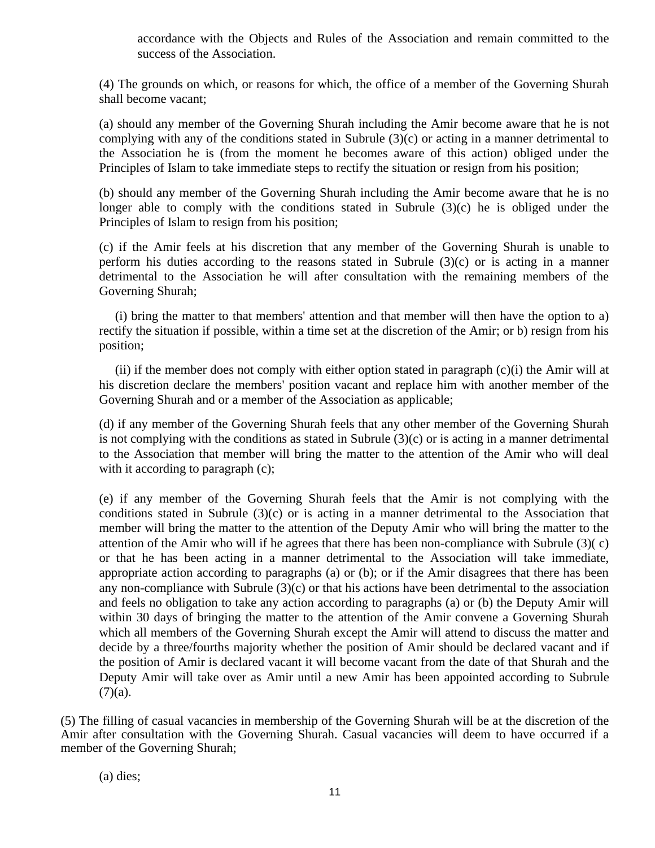accordance with the Objects and Rules of the Association and remain committed to the success of the Association.

(4) The grounds on which, or reasons for which, the office of a member of the Governing Shurah shall become vacant;

(a) should any member of the Governing Shurah including the Amir become aware that he is not complying with any of the conditions stated in Subrule (3)(c) or acting in a manner detrimental to the Association he is (from the moment he becomes aware of this action) obliged under the Principles of Islam to take immediate steps to rectify the situation or resign from his position;

(b) should any member of the Governing Shurah including the Amir become aware that he is no longer able to comply with the conditions stated in Subrule  $(3)(c)$  he is obliged under the Principles of Islam to resign from his position;

(c) if the Amir feels at his discretion that any member of the Governing Shurah is unable to perform his duties according to the reasons stated in Subrule (3)(c) or is acting in a manner detrimental to the Association he will after consultation with the remaining members of the Governing Shurah;

 (i) bring the matter to that members' attention and that member will then have the option to a) rectify the situation if possible, within a time set at the discretion of the Amir; or b) resign from his position;

(ii) if the member does not comply with either option stated in paragraph  $(c)(i)$  the Amir will at his discretion declare the members' position vacant and replace him with another member of the Governing Shurah and or a member of the Association as applicable;

(d) if any member of the Governing Shurah feels that any other member of the Governing Shurah is not complying with the conditions as stated in Subrule (3)(c) or is acting in a manner detrimental to the Association that member will bring the matter to the attention of the Amir who will deal with it according to paragraph (c);

(e) if any member of the Governing Shurah feels that the Amir is not complying with the conditions stated in Subrule (3)(c) or is acting in a manner detrimental to the Association that member will bring the matter to the attention of the Deputy Amir who will bring the matter to the attention of the Amir who will if he agrees that there has been non-compliance with Subrule (3)( c) or that he has been acting in a manner detrimental to the Association will take immediate, appropriate action according to paragraphs (a) or (b); or if the Amir disagrees that there has been any non-compliance with Subrule (3)(c) or that his actions have been detrimental to the association and feels no obligation to take any action according to paragraphs (a) or (b) the Deputy Amir will within 30 days of bringing the matter to the attention of the Amir convene a Governing Shurah which all members of the Governing Shurah except the Amir will attend to discuss the matter and decide by a three/fourths majority whether the position of Amir should be declared vacant and if the position of Amir is declared vacant it will become vacant from the date of that Shurah and the Deputy Amir will take over as Amir until a new Amir has been appointed according to Subrule  $(7)(a)$ .

(5) The filling of casual vacancies in membership of the Governing Shurah will be at the discretion of the Amir after consultation with the Governing Shurah. Casual vacancies will deem to have occurred if a member of the Governing Shurah;

(a) dies;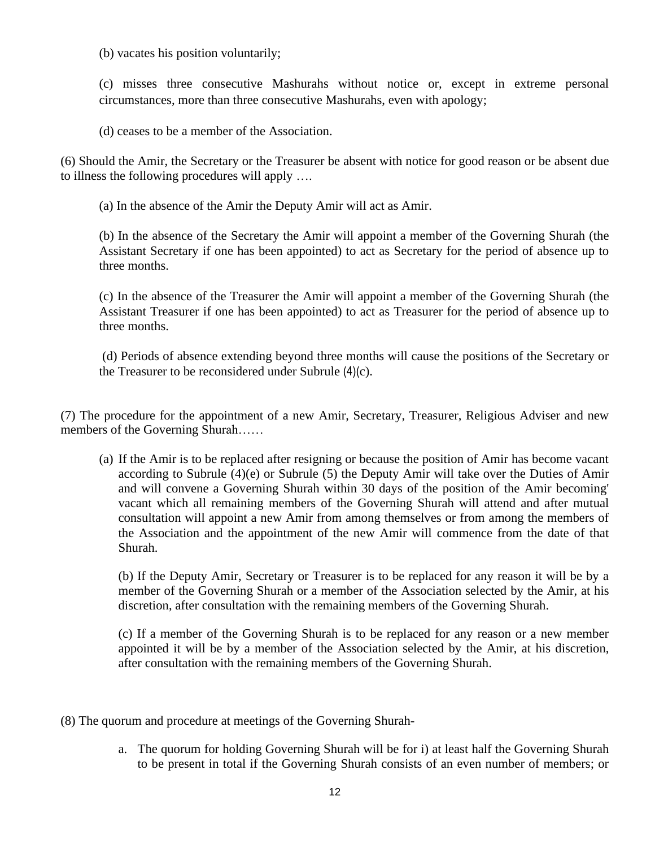(b) vacates his position voluntarily;

(c) misses three consecutive Mashurahs without notice or, except in extreme personal circumstances, more than three consecutive Mashurahs, even with apology;

(d) ceases to be a member of the Association.

(6) Should the Amir, the Secretary or the Treasurer be absent with notice for good reason or be absent due to illness the following procedures will apply ….

(a) In the absence of the Amir the Deputy Amir will act as Amir.

(b) In the absence of the Secretary the Amir will appoint a member of the Governing Shurah (the Assistant Secretary if one has been appointed) to act as Secretary for the period of absence up to three months.

(c) In the absence of the Treasurer the Amir will appoint a member of the Governing Shurah (the Assistant Treasurer if one has been appointed) to act as Treasurer for the period of absence up to three months.

(d) Periods of absence extending beyond three months will cause the positions of the Secretary or the Treasurer to be reconsidered under Subrule (4)(c).

(7) The procedure for the appointment of a new Amir, Secretary, Treasurer, Religious Adviser and new members of the Governing Shurah……

(a) If the Amir is to be replaced after resigning or because the position of Amir has become vacant according to Subrule (4)(e) or Subrule (5) the Deputy Amir will take over the Duties of Amir and will convene a Governing Shurah within 30 days of the position of the Amir becoming' vacant which all remaining members of the Governing Shurah will attend and after mutual consultation will appoint a new Amir from among themselves or from among the members of the Association and the appointment of the new Amir will commence from the date of that Shurah.

(b) If the Deputy Amir, Secretary or Treasurer is to be replaced for any reason it will be by a member of the Governing Shurah or a member of the Association selected by the Amir, at his discretion, after consultation with the remaining members of the Governing Shurah.

(c) If a member of the Governing Shurah is to be replaced for any reason or a new member appointed it will be by a member of the Association selected by the Amir, at his discretion, after consultation with the remaining members of the Governing Shurah.

- (8) The quorum and procedure at meetings of the Governing Shurah
	- a. The quorum for holding Governing Shurah will be for i) at least half the Governing Shurah to be present in total if the Governing Shurah consists of an even number of members; or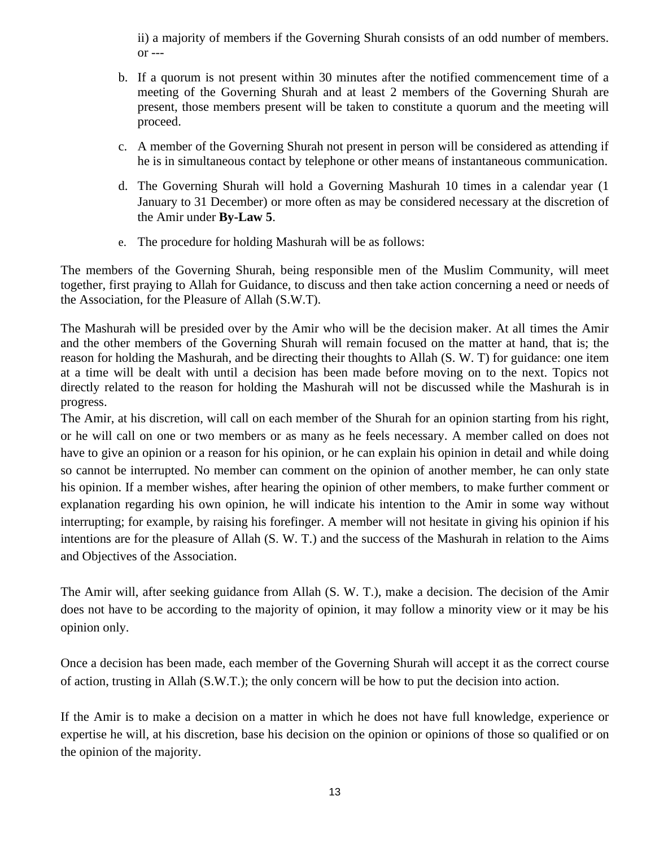ii) a majority of members if the Governing Shurah consists of an odd number of members.  $or --$ 

- b. If a quorum is not present within 30 minutes after the notified commencement time of a meeting of the Governing Shurah and at least 2 members of the Governing Shurah are present, those members present will be taken to constitute a quorum and the meeting will proceed.
- c. A member of the Governing Shurah not present in person will be considered as attending if he is in simultaneous contact by telephone or other means of instantaneous communication.
- d. The Governing Shurah will hold a Governing Mashurah 10 times in a calendar year (1 January to 31 December) or more often as may be considered necessary at the discretion of the Amir under **By-Law 5**.
- e. The procedure for holding Mashurah will be as follows:

The members of the Governing Shurah, being responsible men of the Muslim Community, will meet together, first praying to Allah for Guidance, to discuss and then take action concerning a need or needs of the Association, for the Pleasure of Allah (S.W.T).

The Mashurah will be presided over by the Amir who will be the decision maker. At all times the Amir and the other members of the Governing Shurah will remain focused on the matter at hand, that is; the reason for holding the Mashurah, and be directing their thoughts to Allah (S. W. T) for guidance: one item at a time will be dealt with until a decision has been made before moving on to the next. Topics not directly related to the reason for holding the Mashurah will not be discussed while the Mashurah is in progress.

The Amir, at his discretion, will call on each member of the Shurah for an opinion starting from his right, or he will call on one or two members or as many as he feels necessary. A member called on does not have to give an opinion or a reason for his opinion, or he can explain his opinion in detail and while doing so cannot be interrupted. No member can comment on the opinion of another member, he can only state his opinion. If a member wishes, after hearing the opinion of other members, to make further comment or explanation regarding his own opinion, he will indicate his intention to the Amir in some way without interrupting; for example, by raising his forefinger. A member will not hesitate in giving his opinion if his intentions are for the pleasure of Allah (S. W. T.) and the success of the Mashurah in relation to the Aims and Objectives of the Association.

The Amir will, after seeking guidance from Allah (S. W. T.), make a decision. The decision of the Amir does not have to be according to the majority of opinion, it may follow a minority view or it may be his opinion only.

Once a decision has been made, each member of the Governing Shurah will accept it as the correct course of action, trusting in Allah (S.W.T.); the only concern will be how to put the decision into action.

If the Amir is to make a decision on a matter in which he does not have full knowledge, experience or expertise he will, at his discretion, base his decision on the opinion or opinions of those so qualified or on the opinion of the majority.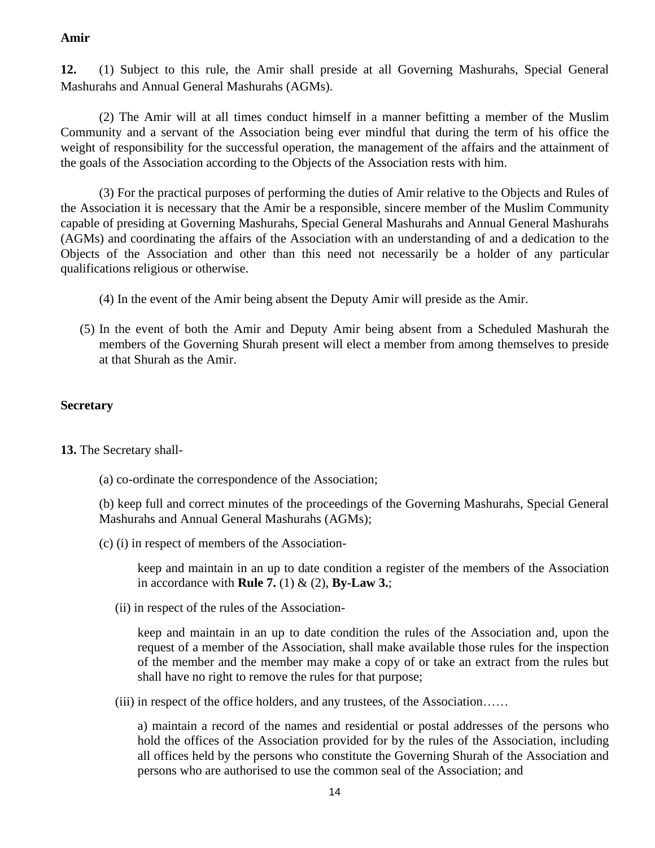# **Amir**

**12.** (1) Subject to this rule, the Amir shall preside at all Governing Mashurahs, Special General Mashurahs and Annual General Mashurahs (AGMs).

(2) The Amir will at all times conduct himself in a manner befitting a member of the Muslim Community and a servant of the Association being ever mindful that during the term of his office the weight of responsibility for the successful operation, the management of the affairs and the attainment of the goals of the Association according to the Objects of the Association rests with him.

(3) For the practical purposes of performing the duties of Amir relative to the Objects and Rules of the Association it is necessary that the Amir be a responsible, sincere member of the Muslim Community capable of presiding at Governing Mashurahs, Special General Mashurahs and Annual General Mashurahs (AGMs) and coordinating the affairs of the Association with an understanding of and a dedication to the Objects of the Association and other than this need not necessarily be a holder of any particular qualifications religious or otherwise.

- (4) In the event of the Amir being absent the Deputy Amir will preside as the Amir.
- (5) In the event of both the Amir and Deputy Amir being absent from a Scheduled Mashurah the members of the Governing Shurah present will elect a member from among themselves to preside at that Shurah as the Amir.

# **Secretary**

**13.** The Secretary shall-

(a) co-ordinate the correspondence of the Association;

(b) keep full and correct minutes of the proceedings of the Governing Mashurahs, Special General Mashurahs and Annual General Mashurahs (AGMs);

(c) (i) in respect of members of the Association-

keep and maintain in an up to date condition a register of the members of the Association in accordance with **Rule 7.** (1) & (2), **By-Law 3.**;

(ii) in respect of the rules of the Association-

keep and maintain in an up to date condition the rules of the Association and, upon the request of a member of the Association, shall make available those rules for the inspection of the member and the member may make a copy of or take an extract from the rules but shall have no right to remove the rules for that purpose;

(iii) in respect of the office holders, and any trustees, of the Association……

a) maintain a record of the names and residential or postal addresses of the persons who hold the offices of the Association provided for by the rules of the Association, including all offices held by the persons who constitute the Governing Shurah of the Association and persons who are authorised to use the common seal of the Association; and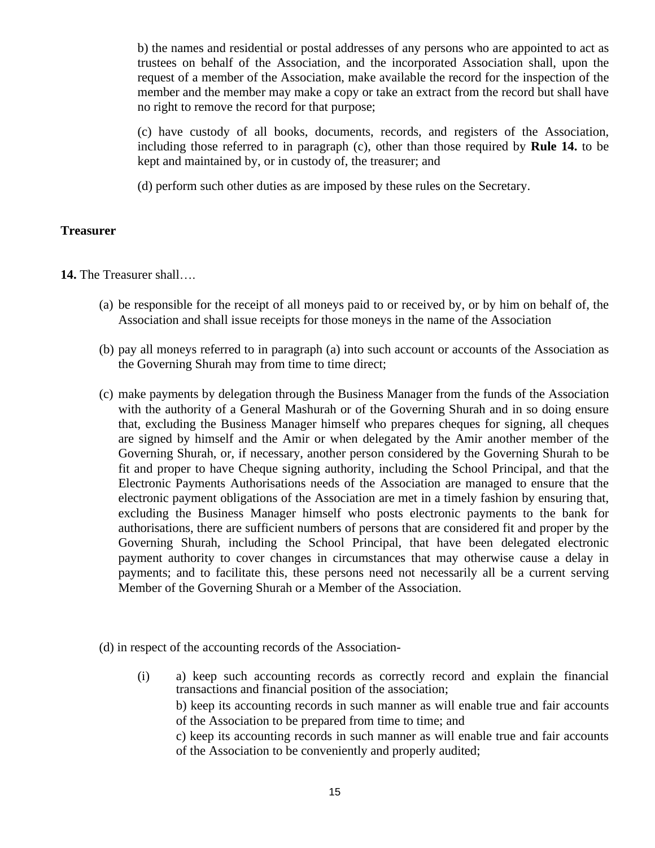b) the names and residential or postal addresses of any persons who are appointed to act as trustees on behalf of the Association, and the incorporated Association shall, upon the request of a member of the Association, make available the record for the inspection of the member and the member may make a copy or take an extract from the record but shall have no right to remove the record for that purpose;

(c) have custody of all books, documents, records, and registers of the Association, including those referred to in paragraph (c), other than those required by **Rule 14.** to be kept and maintained by, or in custody of, the treasurer; and

(d) perform such other duties as are imposed by these rules on the Secretary.

#### **Treasurer**

**14.** The Treasurer shall….

- (a) be responsible for the receipt of all moneys paid to or received by, or by him on behalf of, the Association and shall issue receipts for those moneys in the name of the Association
- (b) pay all moneys referred to in paragraph (a) into such account or accounts of the Association as the Governing Shurah may from time to time direct;
- (c) make payments by delegation through the Business Manager from the funds of the Association with the authority of a General Mashurah or of the Governing Shurah and in so doing ensure that, excluding the Business Manager himself who prepares cheques for signing, all cheques are signed by himself and the Amir or when delegated by the Amir another member of the Governing Shurah, or, if necessary, another person considered by the Governing Shurah to be fit and proper to have Cheque signing authority, including the School Principal, and that the Electronic Payments Authorisations needs of the Association are managed to ensure that the electronic payment obligations of the Association are met in a timely fashion by ensuring that, excluding the Business Manager himself who posts electronic payments to the bank for authorisations, there are sufficient numbers of persons that are considered fit and proper by the Governing Shurah, including the School Principal, that have been delegated electronic payment authority to cover changes in circumstances that may otherwise cause a delay in payments; and to facilitate this, these persons need not necessarily all be a current serving Member of the Governing Shurah or a Member of the Association.
- (d) in respect of the accounting records of the Association-
	- (i) a) keep such accounting records as correctly record and explain the financial transactions and financial position of the association;

b) keep its accounting records in such manner as will enable true and fair accounts of the Association to be prepared from time to time; and

c) keep its accounting records in such manner as will enable true and fair accounts of the Association to be conveniently and properly audited;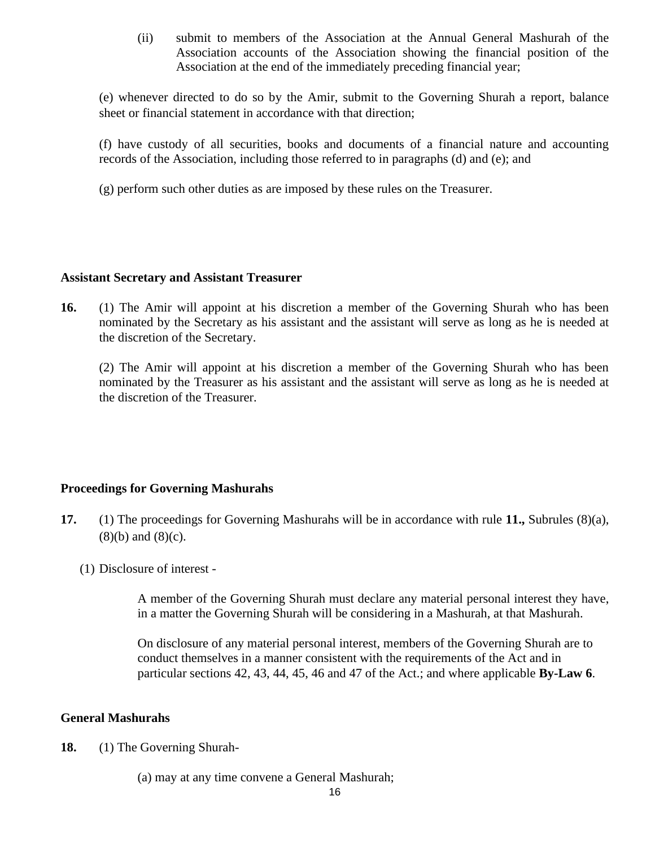(ii) submit to members of the Association at the Annual General Mashurah of the Association accounts of the Association showing the financial position of the Association at the end of the immediately preceding financial year;

(e) whenever directed to do so by the Amir, submit to the Governing Shurah a report, balance sheet or financial statement in accordance with that direction;

(f) have custody of all securities, books and documents of a financial nature and accounting records of the Association, including those referred to in paragraphs (d) and (e); and

(g) perform such other duties as are imposed by these rules on the Treasurer.

## **Assistant Secretary and Assistant Treasurer**

**16.** (1) The Amir will appoint at his discretion a member of the Governing Shurah who has been nominated by the Secretary as his assistant and the assistant will serve as long as he is needed at the discretion of the Secretary.

(2) The Amir will appoint at his discretion a member of the Governing Shurah who has been nominated by the Treasurer as his assistant and the assistant will serve as long as he is needed at the discretion of the Treasurer.

# **Proceedings for Governing Mashurahs**

- **17.** (1) The proceedings for Governing Mashurahs will be in accordance with rule **11.,** Subrules (8)(a), (8)(b) and (8)(c).
	- (1) Disclosure of interest -

A member of the Governing Shurah must declare any material personal interest they have, in a matter the Governing Shurah will be considering in a Mashurah, at that Mashurah.

On disclosure of any material personal interest, members of the Governing Shurah are to conduct themselves in a manner consistent with the requirements of the Act and in particular sections 42, 43, 44, 45, 46 and 47 of the Act.; and where applicable **By-Law 6**.

## **General Mashurahs**

**18.** (1) The Governing Shurah-

(a) may at any time convene a General Mashurah;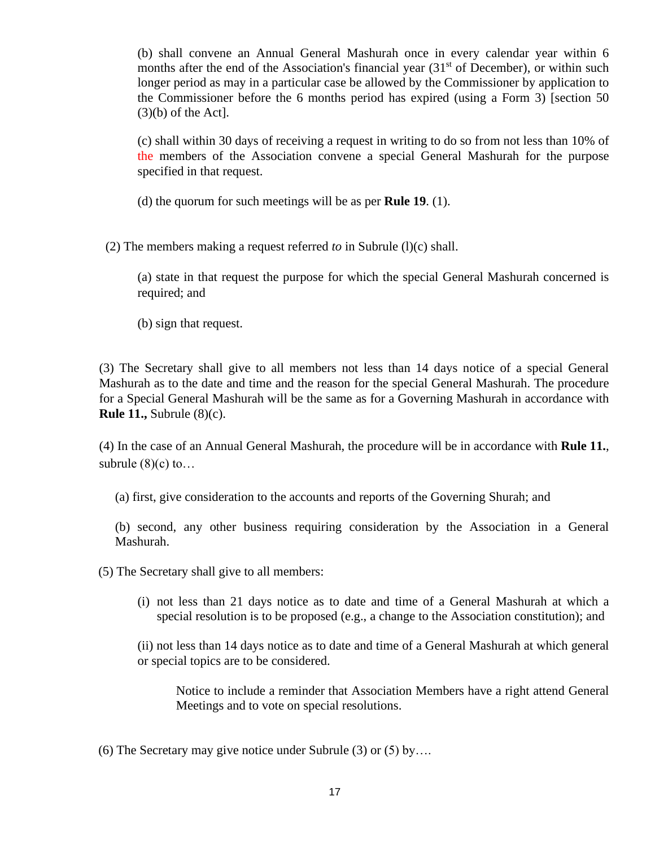(b) shall convene an Annual General Mashurah once in every calendar year within 6 months after the end of the Association's financial year  $(31<sup>st</sup>$  of December), or within such longer period as may in a particular case be allowed by the Commissioner by application to the Commissioner before the 6 months period has expired (using a Form 3) [section 50  $(3)(b)$  of the Act].

(c) shall within 30 days of receiving a request in writing to do so from not less than 10% of the members of the Association convene a special General Mashurah for the purpose specified in that request.

(d) the quorum for such meetings will be as per **Rule 19**. (1).

(2) The members making a request referred *to* in Subrule (l)(c) shall.

(a) state in that request the purpose for which the special General Mashurah concerned is required; and

(b) sign that request.

(3) The Secretary shall give to all members not less than 14 days notice of a special General Mashurah as to the date and time and the reason for the special General Mashurah. The procedure for a Special General Mashurah will be the same as for a Governing Mashurah in accordance with **Rule 11.,** Subrule (8)(c).

(4) In the case of an Annual General Mashurah, the procedure will be in accordance with **Rule 11.**, subrule  $(8)(c)$  to...

(a) first, give consideration to the accounts and reports of the Governing Shurah; and

(b) second, any other business requiring consideration by the Association in a General Mashurah.

(5) The Secretary shall give to all members:

(i) not less than 21 days notice as to date and time of a General Mashurah at which a special resolution is to be proposed (e.g., a change to the Association constitution); and

(ii) not less than 14 days notice as to date and time of a General Mashurah at which general or special topics are to be considered.

Notice to include a reminder that Association Members have a right attend General Meetings and to vote on special resolutions.

(6) The Secretary may give notice under Subrule (3) or (5) by….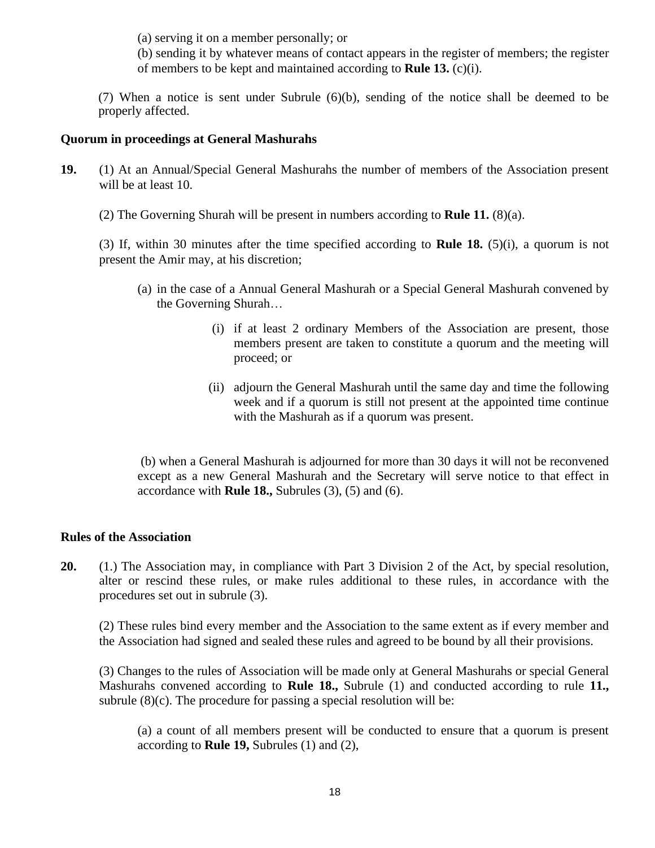(a) serving it on a member personally; or

(b) sending it by whatever means of contact appears in the register of members; the register of members to be kept and maintained according to **Rule 13.** (c)(i).

(7) When a notice is sent under Subrule (6)(b), sending of the notice shall be deemed to be properly affected.

## **Quorum in proceedings at General Mashurahs**

**19.** (1) At an Annual/Special General Mashurahs the number of members of the Association present will be at least 10.

(2) The Governing Shurah will be present in numbers according to **Rule 11.** (8)(a).

(3) If, within 30 minutes after the time specified according to **Rule 18.** (5)(i), a quorum is not present the Amir may, at his discretion;

- (a) in the case of a Annual General Mashurah or a Special General Mashurah convened by the Governing Shurah…
	- (i) if at least 2 ordinary Members of the Association are present, those members present are taken to constitute a quorum and the meeting will proceed; or
	- (ii) adjourn the General Mashurah until the same day and time the following week and if a quorum is still not present at the appointed time continue with the Mashurah as if a quorum was present.

(b) when a General Mashurah is adjourned for more than 30 days it will not be reconvened except as a new General Mashurah and the Secretary will serve notice to that effect in accordance with **Rule 18.,** Subrules (3), (5) and (6).

## **Rules of the Association**

**20.** (1.) The Association may, in compliance with Part 3 Division 2 of the Act, by special resolution, alter or rescind these rules, or make rules additional to these rules, in accordance with the procedures set out in subrule (3).

(2) These rules bind every member and the Association to the same extent as if every member and the Association had signed and sealed these rules and agreed to be bound by all their provisions.

(3) Changes to the rules of Association will be made only at General Mashurahs or special General Mashurahs convened according to **Rule 18.,** Subrule (1) and conducted according to rule **11.,**  subrule (8)(c). The procedure for passing a special resolution will be:

(a) a count of all members present will be conducted to ensure that a quorum is present according to **Rule 19,** Subrules (1) and (2),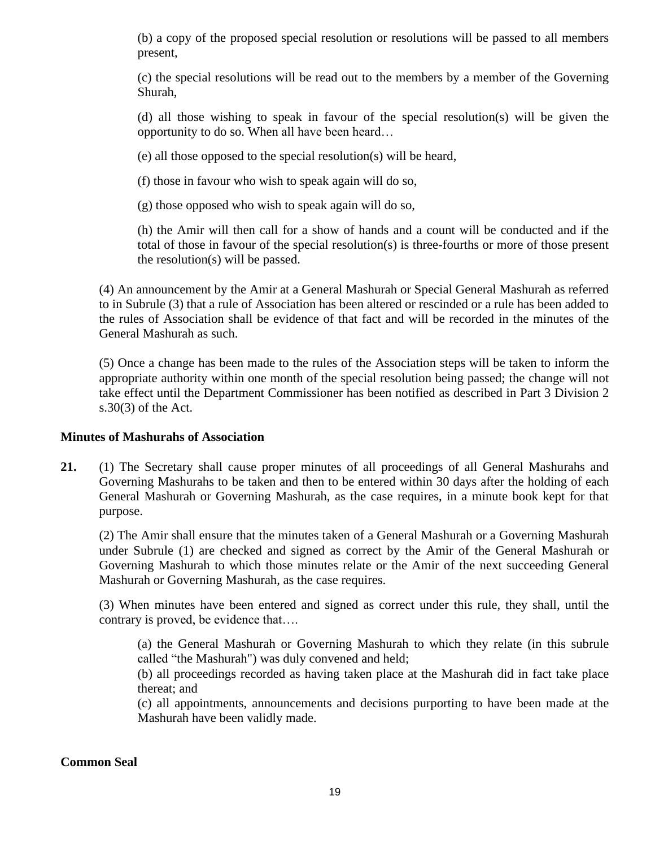(b) a copy of the proposed special resolution or resolutions will be passed to all members present,

(c) the special resolutions will be read out to the members by a member of the Governing Shurah,

(d) all those wishing to speak in favour of the special resolution(s) will be given the opportunity to do so. When all have been heard…

(e) all those opposed to the special resolution(s) will be heard,

(f) those in favour who wish to speak again will do so,

(g) those opposed who wish to speak again will do so,

(h) the Amir will then call for a show of hands and a count will be conducted and if the total of those in favour of the special resolution(s) is three-fourths or more of those present the resolution(s) will be passed.

(4) An announcement by the Amir at a General Mashurah or Special General Mashurah as referred to in Subrule (3) that a rule of Association has been altered or rescinded or a rule has been added to the rules of Association shall be evidence of that fact and will be recorded in the minutes of the General Mashurah as such.

(5) Once a change has been made to the rules of the Association steps will be taken to inform the appropriate authority within one month of the special resolution being passed; the change will not take effect until the Department Commissioner has been notified as described in Part 3 Division 2 s.30(3) of the Act.

## **Minutes of Mashurahs of Association**

**21.** (1) The Secretary shall cause proper minutes of all proceedings of all General Mashurahs and Governing Mashurahs to be taken and then to be entered within 30 days after the holding of each General Mashurah or Governing Mashurah, as the case requires, in a minute book kept for that purpose.

(2) The Amir shall ensure that the minutes taken of a General Mashurah or a Governing Mashurah under Subrule (1) are checked and signed as correct by the Amir of the General Mashurah or Governing Mashurah to which those minutes relate or the Amir of the next succeeding General Mashurah or Governing Mashurah, as the case requires.

(3) When minutes have been entered and signed as correct under this rule, they shall, until the contrary is proved, be evidence that….

(a) the General Mashurah or Governing Mashurah to which they relate (in this subrule called "the Mashurah") was duly convened and held;

(b) all proceedings recorded as having taken place at the Mashurah did in fact take place thereat; and

(c) all appointments, announcements and decisions purporting to have been made at the Mashurah have been validly made.

# **Common Seal**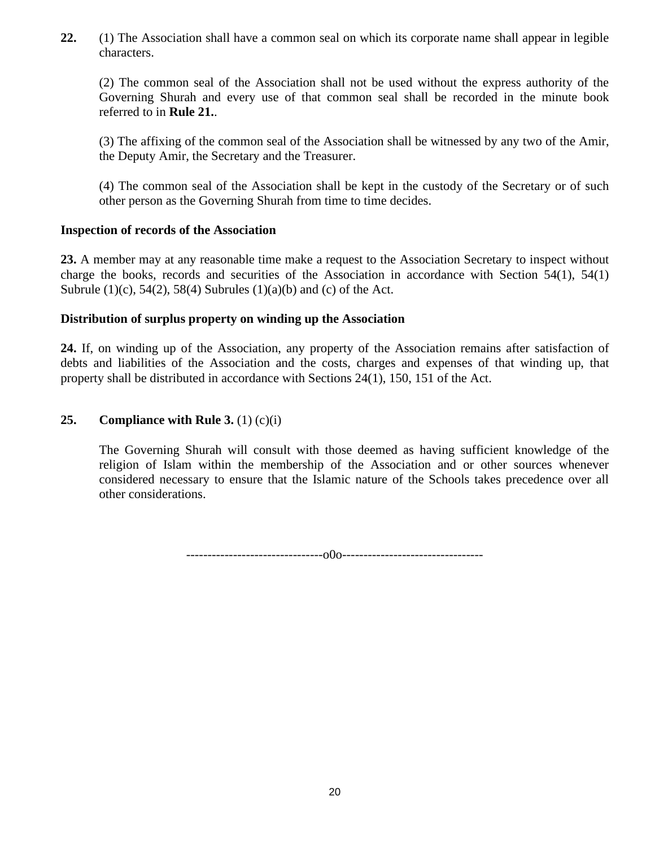**22.** (1) The Association shall have a common seal on which its corporate name shall appear in legible characters.

(2) The common seal of the Association shall not be used without the express authority of the Governing Shurah and every use of that common seal shall be recorded in the minute book referred to in **Rule 21.**.

(3) The affixing of the common seal of the Association shall be witnessed by any two of the Amir, the Deputy Amir, the Secretary and the Treasurer.

(4) The common seal of the Association shall be kept in the custody of the Secretary or of such other person as the Governing Shurah from time to time decides.

# **Inspection of records of the Association**

**23.** A member may at any reasonable time make a request to the Association Secretary to inspect without charge the books, records and securities of the Association in accordance with Section 54(1), 54(1) Subrule  $(1)(c)$ , 54 $(2)$ , 58 $(4)$  Subrules  $(1)(a)(b)$  and  $(c)$  of the Act.

## **Distribution of surplus property on winding up the Association**

**24.** If, on winding up of the Association, any property of the Association remains after satisfaction of debts and liabilities of the Association and the costs, charges and expenses of that winding up, that property shall be distributed in accordance with Sections 24(1), 150, 151 of the Act.

# **25. Compliance with Rule 3.**  $(1)(c)(i)$

The Governing Shurah will consult with those deemed as having sufficient knowledge of the religion of Islam within the membership of the Association and or other sources whenever considered necessary to ensure that the Islamic nature of the Schools takes precedence over all other considerations.

--------------------------------o0o---------------------------------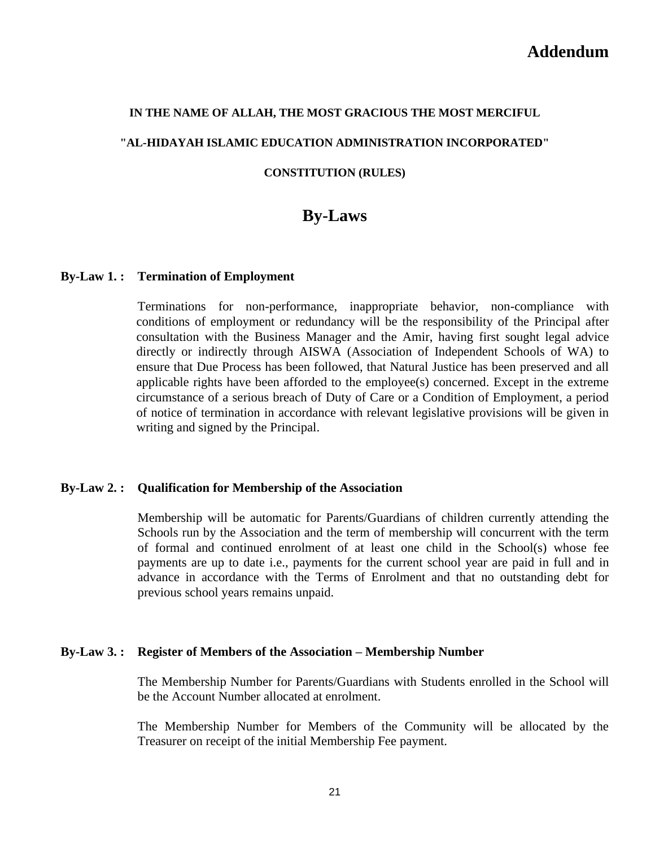#### **IN THE NAME OF ALLAH, THE MOST GRACIOUS THE MOST MERCIFUL**

#### **"AL-HIDAYAH ISLAMIC EDUCATION ADMINISTRATION INCORPORATED"**

#### **CONSTITUTION (RULES)**

# **By-Laws**

#### **By-Law 1. : Termination of Employment**

Terminations for non-performance, inappropriate behavior, non-compliance with conditions of employment or redundancy will be the responsibility of the Principal after consultation with the Business Manager and the Amir, having first sought legal advice directly or indirectly through AISWA (Association of Independent Schools of WA) to ensure that Due Process has been followed, that Natural Justice has been preserved and all applicable rights have been afforded to the employee(s) concerned. Except in the extreme circumstance of a serious breach of Duty of Care or a Condition of Employment, a period of notice of termination in accordance with relevant legislative provisions will be given in writing and signed by the Principal.

#### **By-Law 2. : Qualification for Membership of the Association**

Membership will be automatic for Parents/Guardians of children currently attending the Schools run by the Association and the term of membership will concurrent with the term of formal and continued enrolment of at least one child in the School(s) whose fee payments are up to date i.e., payments for the current school year are paid in full and in advance in accordance with the Terms of Enrolment and that no outstanding debt for previous school years remains unpaid.

#### **By-Law 3. : Register of Members of the Association – Membership Number**

The Membership Number for Parents/Guardians with Students enrolled in the School will be the Account Number allocated at enrolment.

The Membership Number for Members of the Community will be allocated by the Treasurer on receipt of the initial Membership Fee payment.